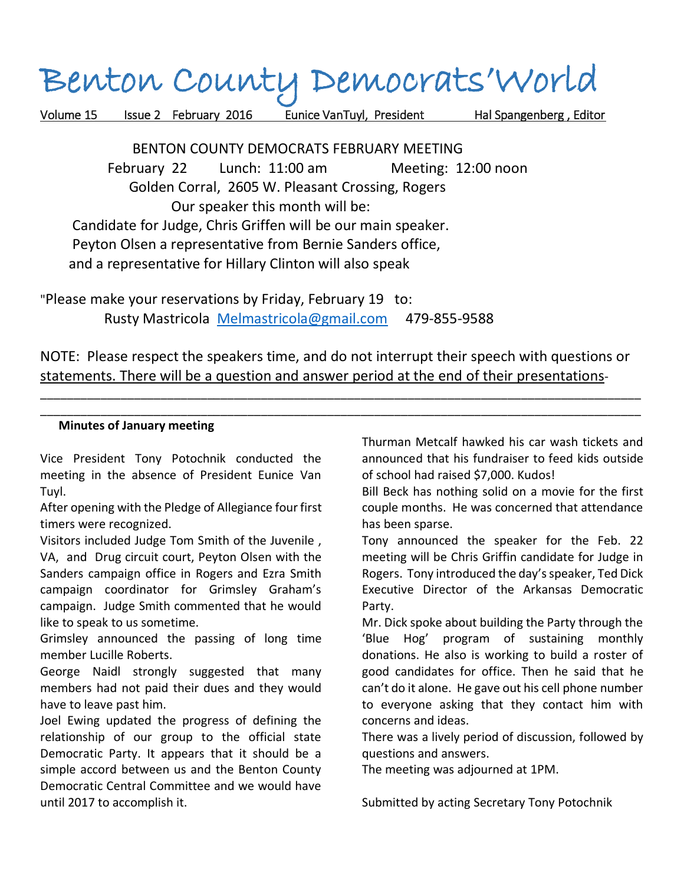## Benton County Democrats'World

Volume 15 Issue 2 February 2016 Eunice VanTuyl, President Hal Spangenberg , Editor

 BENTON COUNTY DEMOCRATS FEBRUARY MEETING February 22 Lunch: 11:00 am Meeting: 12:00 noon Golden Corral, 2605 W. Pleasant Crossing, Rogers Our speaker this month will be: Candidate for Judge, Chris Griffen will be our main speaker. Peyton Olsen a representative from Bernie Sanders office, and a representative for Hillary Clinton will also speak

"Please make your reservations by Friday, February 19 to: Rusty Mastricola [Melmastricola@gmail.com](mailto:Melmastricola@gmail.com) 479-855-9588

NOTE: Please respect the speakers time, and do not interrupt their speech with questions or statements. There will be a question and answer period at the end of their presentations-

\_\_\_\_\_\_\_\_\_\_\_\_\_\_\_\_\_\_\_\_\_\_\_\_\_\_\_\_\_\_\_\_\_\_\_\_\_\_\_\_\_\_\_\_\_\_\_\_\_\_\_\_\_\_\_\_\_\_\_\_\_\_\_\_\_\_\_\_\_\_\_\_\_\_\_\_\_\_\_\_\_\_\_\_\_\_\_\_\_\_ \_\_\_\_\_\_\_\_\_\_\_\_\_\_\_\_\_\_\_\_\_\_\_\_\_\_\_\_\_\_\_\_\_\_\_\_\_\_\_\_\_\_\_\_\_\_\_\_\_\_\_\_\_\_\_\_\_\_\_\_\_\_\_\_\_\_\_\_\_\_\_\_\_\_\_\_\_\_\_\_\_\_\_\_\_\_\_\_\_\_

## **Minutes of January meeting**

Vice President Tony Potochnik conducted the meeting in the absence of President Eunice Van Tuyl.

After opening with the Pledge of Allegiance four first timers were recognized.

Visitors included Judge Tom Smith of the Juvenile ,

VA, and Drug circuit court, Peyton Olsen with the Sanders campaign office in Rogers and Ezra Smith campaign coordinator for Grimsley Graham's campaign. Judge Smith commented that he would like to speak to us sometime.

Grimsley announced the passing of long time member Lucille Roberts.

George Naidl strongly suggested that many members had not paid their dues and they would have to leave past him.

Joel Ewing updated the progress of defining the relationship of our group to the official state Democratic Party. It appears that it should be a simple accord between us and the Benton County Democratic Central Committee and we would have until 2017 to accomplish it.

Thurman Metcalf hawked his car wash tickets and announced that his fundraiser to feed kids outside of school had raised \$7,000. Kudos!

Bill Beck has nothing solid on a movie for the first couple months. He was concerned that attendance has been sparse.

Tony announced the speaker for the Feb. 22 meeting will be Chris Griffin candidate for Judge in Rogers. Tony introduced the day's speaker, Ted Dick Executive Director of the Arkansas Democratic Party.

Mr. Dick spoke about building the Party through the 'Blue Hog' program of sustaining monthly donations. He also is working to build a roster of good candidates for office. Then he said that he can't do it alone. He gave out his cell phone number to everyone asking that they contact him with concerns and ideas.

There was a lively period of discussion, followed by questions and answers.

The meeting was adjourned at 1PM.

Submitted by acting Secretary Tony Potochnik